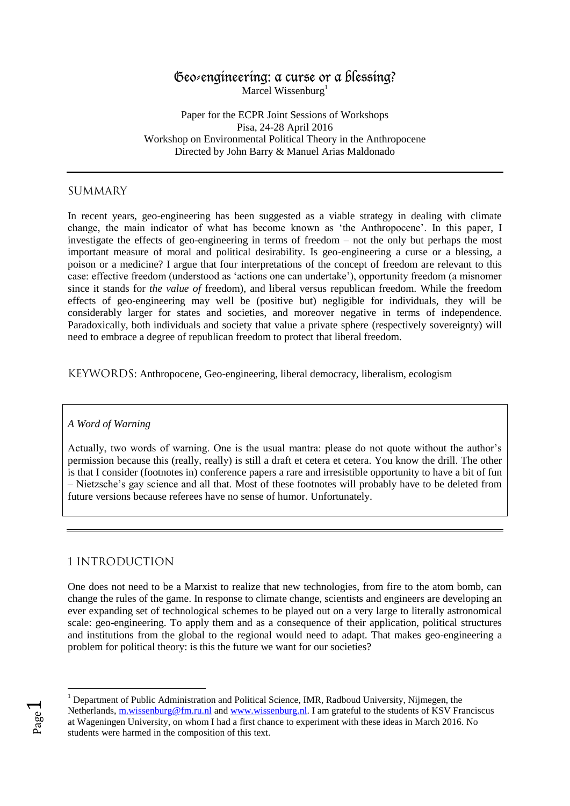# Geo-engineering: a curse or a blessing?

Marcel Wissenburg<sup>1</sup>

Paper for the ECPR Joint Sessions of Workshops Pisa, 24-28 April 2016 Workshop on Environmental Political Theory in the Anthropocene Directed by John Barry & Manuel Arias Maldonado

### SUMMARY

In recent years, geo-engineering has been suggested as a viable strategy in dealing with climate change, the main indicator of what has become known as 'the Anthropocene'. In this paper, I investigate the effects of geo-engineering in terms of freedom – not the only but perhaps the most important measure of moral and political desirability. Is geo-engineering a curse or a blessing, a poison or a medicine? I argue that four interpretations of the concept of freedom are relevant to this case: effective freedom (understood as 'actions one can undertake'), opportunity freedom (a misnomer since it stands for *the value of* freedom), and liberal versus republican freedom. While the freedom effects of geo-engineering may well be (positive but) negligible for individuals, they will be considerably larger for states and societies, and moreover negative in terms of independence. Paradoxically, both individuals and society that value a private sphere (respectively sovereignty) will need to embrace a degree of republican freedom to protect that liberal freedom.

KEYWORDS: Anthropocene, Geo-engineering, liberal democracy, liberalism, ecologism

#### *A Word of Warning*

Actually, two words of warning. One is the usual mantra: please do not quote without the author's permission because this (really, really) is still a draft et cetera et cetera. You know the drill. The other is that I consider (footnotes in) conference papers a rare and irresistible opportunity to have a bit of fun – Nietzsche's gay science and all that. Most of these footnotes will probably have to be deleted from future versions because referees have no sense of humor. Unfortunately.

# 1 INTRODUCTION

One does not need to be a Marxist to realize that new technologies, from fire to the atom bomb, can change the rules of the game. In response to climate change, scientists and engineers are developing an ever expanding set of technological schemes to be played out on a very large to literally astronomical scale: geo-engineering. To apply them and as a consequence of their application, political structures and institutions from the global to the regional would need to adapt. That makes geo-engineering a problem for political theory: is this the future we want for our societies?

Page  $\overline{\phantom{0}}$ 

<sup>&</sup>lt;sup>1</sup> Department of Public Administration and Political Science, IMR, Radboud University, Nijmegen, the Netherlands, [m.wissenburg@fm.ru.nl](mailto:m.wissenburg@fm.ru.nl) and [www.wissenburg.nl.](http://www.wissenburg.nl/) I am grateful to the students of KSV Franciscus at Wageningen University, on whom I had a first chance to experiment with these ideas in March 2016. No students were harmed in the composition of this text.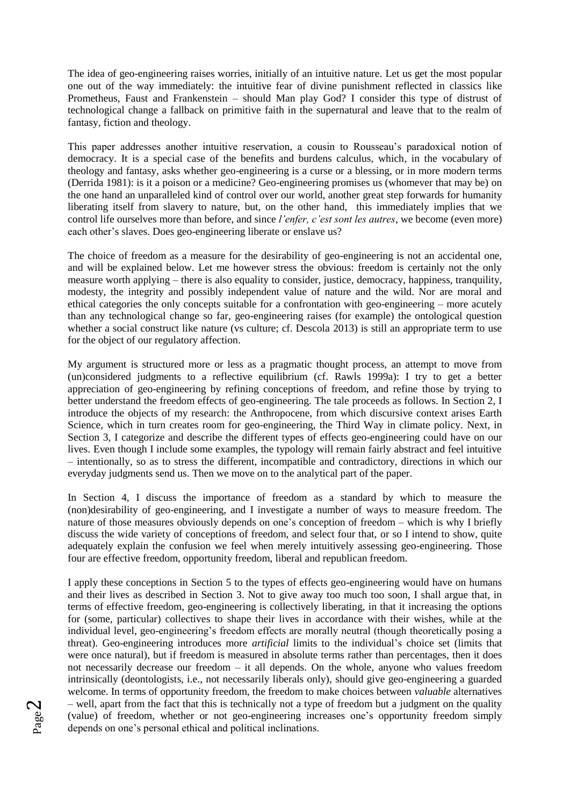The idea of geo-engineering raises worries, initially of an intuitive nature. Let us get the most popular one out of the way immediately: the intuitive fear of divine punishment reflected in classics like Prometheus, Faust and Frankenstein – should Man play God? I consider this type of distrust of technological change a fallback on primitive faith in the supernatural and leave that to the realm of fantasy, fiction and theology.

This paper addresses another intuitive reservation, a cousin to Rousseau's paradoxical notion of democracy. It is a special case of the benefits and burdens calculus, which, in the vocabulary of theology and fantasy, asks whether geo-engineering is a curse or a blessing, or in more modern terms (Derrida 1981): is it a poison or a medicine? Geo-engineering promises us (whomever that may be) on the one hand an unparalleled kind of control over our world, another great step forwards for humanity liberating itself from slavery to nature, but, on the other hand, this immediately implies that we control life ourselves more than before, and since *l'enfer, c'est sont les autres*, we become (even more) each other's slaves. Does geo-engineering liberate or enslave us?

The choice of freedom as a measure for the desirability of geo-engineering is not an accidental one, and will be explained below. Let me however stress the obvious: freedom is certainly not the only measure worth applying – there is also equality to consider, justice, democracy, happiness, tranquility, modesty, the integrity and possibly independent value of nature and the wild. Nor are moral and ethical categories the only concepts suitable for a confrontation with geo-engineering – more acutely than any technological change so far, geo-engineering raises (for example) the ontological question whether a social construct like nature (vs culture; cf. Descola 2013) is still an appropriate term to use for the object of our regulatory affection.

My argument is structured more or less as a pragmatic thought process, an attempt to move from (un)considered judgments to a reflective equilibrium (cf. Rawls 1999a): I try to get a better appreciation of geo-engineering by refining conceptions of freedom, and refine those by trying to better understand the freedom effects of geo-engineering. The tale proceeds as follows. In Section 2, I introduce the objects of my research: the Anthropocene, from which discursive context arises Earth Science, which in turn creates room for geo-engineering, the Third Way in climate policy. Next, in Section 3, I categorize and describe the different types of effects geo-engineering could have on our lives. Even though I include some examples, the typology will remain fairly abstract and feel intuitive – intentionally, so as to stress the different, incompatible and contradictory, directions in which our everyday judgments send us. Then we move on to the analytical part of the paper.

In Section 4, I discuss the importance of freedom as a standard by which to measure the (non)desirability of geo-engineering, and I investigate a number of ways to measure freedom. The nature of those measures obviously depends on one's conception of freedom – which is why I briefly discuss the wide variety of conceptions of freedom, and select four that, or so I intend to show, quite adequately explain the confusion we feel when merely intuitively assessing geo-engineering. Those four are effective freedom, opportunity freedom, liberal and republican freedom.

I apply these conceptions in Section 5 to the types of effects geo-engineering would have on humans and their lives as described in Section 3. Not to give away too much too soon, I shall argue that, in terms of effective freedom, geo-engineering is collectively liberating, in that it increasing the options for (some, particular) collectives to shape their lives in accordance with their wishes, while at the individual level, geo-engineering's freedom effects are morally neutral (though theoretically posing a threat). Geo-engineering introduces more *artificial* limits to the individual's choice set (limits that were once natural), but if freedom is measured in absolute terms rather than percentages, then it does not necessarily decrease our freedom – it all depends. On the whole, anyone who values freedom intrinsically (deontologists, i.e., not necessarily liberals only), should give geo-engineering a guarded welcome. In terms of opportunity freedom, the freedom to make choices between *valuable* alternatives – well, apart from the fact that this is technically not a type of freedom but a judgment on the quality (value) of freedom, whether or not geo-engineering increases one's opportunity freedom simply depends on one's personal ethical and political inclinations.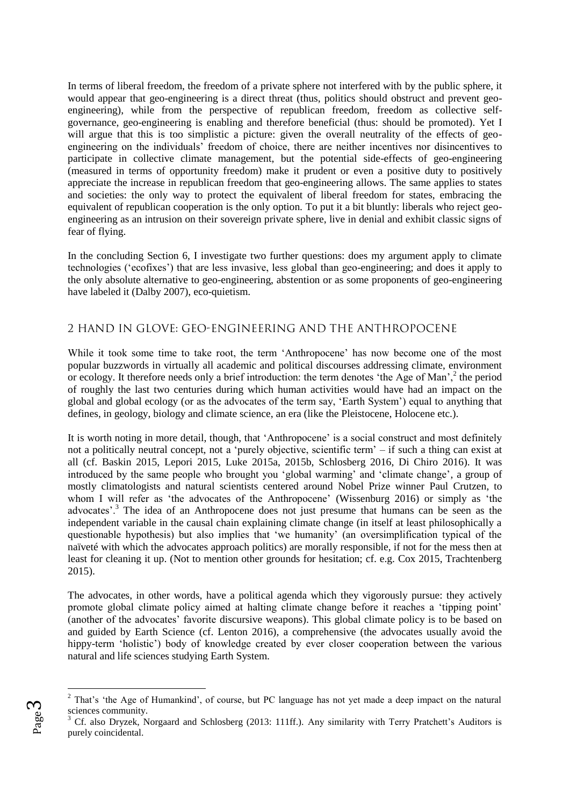In terms of liberal freedom, the freedom of a private sphere not interfered with by the public sphere, it would appear that geo-engineering is a direct threat (thus, politics should obstruct and prevent geoengineering), while from the perspective of republican freedom, freedom as collective selfgovernance, geo-engineering is enabling and therefore beneficial (thus: should be promoted). Yet I will argue that this is too simplistic a picture: given the overall neutrality of the effects of geoengineering on the individuals' freedom of choice, there are neither incentives nor disincentives to participate in collective climate management, but the potential side-effects of geo-engineering (measured in terms of opportunity freedom) make it prudent or even a positive duty to positively appreciate the increase in republican freedom that geo-engineering allows. The same applies to states and societies: the only way to protect the equivalent of liberal freedom for states, embracing the equivalent of republican cooperation is the only option. To put it a bit bluntly: liberals who reject geoengineering as an intrusion on their sovereign private sphere, live in denial and exhibit classic signs of fear of flying.

In the concluding Section 6, I investigate two further questions: does my argument apply to climate technologies ('ecofixes') that are less invasive, less global than geo-engineering; and does it apply to the only absolute alternative to geo-engineering, abstention or as some proponents of geo-engineering have labeled it (Dalby 2007), eco-quietism.

# 2 HAND IN GLOVE: GEO-ENGINEERING AND THE ANTHROPOCENE

While it took some time to take root, the term 'Anthropocene' has now become one of the most popular buzzwords in virtually all academic and political discourses addressing climate, environment or ecology. It therefore needs only a brief introduction: the term denotes 'the Age of Man', $^2$  the period of roughly the last two centuries during which human activities would have had an impact on the global and global ecology (or as the advocates of the term say, 'Earth System') equal to anything that defines, in geology, biology and climate science, an era (like the Pleistocene, Holocene etc.).

It is worth noting in more detail, though, that 'Anthropocene' is a social construct and most definitely not a politically neutral concept, not a 'purely objective, scientific term' – if such a thing can exist at all (cf. Baskin 2015, Lepori 2015, Luke 2015a, 2015b, Schlosberg 2016, Di Chiro 2016). It was introduced by the same people who brought you 'global warming' and 'climate change', a group of mostly climatologists and natural scientists centered around Nobel Prize winner Paul Crutzen, to whom I will refer as 'the advocates of the Anthropocene' (Wissenburg 2016) or simply as 'the advocates'.<sup>3</sup> The idea of an Anthropocene does not just presume that humans can be seen as the independent variable in the causal chain explaining climate change (in itself at least philosophically a questionable hypothesis) but also implies that 'we humanity' (an oversimplification typical of the naïveté with which the advocates approach politics) are morally responsible, if not for the mess then at least for cleaning it up. (Not to mention other grounds for hesitation; cf. e.g. Cox 2015, Trachtenberg 2015).

The advocates, in other words, have a political agenda which they vigorously pursue: they actively promote global climate policy aimed at halting climate change before it reaches a 'tipping point' (another of the advocates' favorite discursive weapons). This global climate policy is to be based on and guided by Earth Science (cf. Lenton 2016), a comprehensive (the advocates usually avoid the hippy-term 'holistic') body of knowledge created by ever closer cooperation between the various natural and life sciences studying Earth System.

<sup>&</sup>lt;sup>2</sup> That's 'the Age of Humankind', of course, but PC language has not yet made a deep impact on the natural sciences community.

<sup>3</sup> Cf. also Dryzek, Norgaard and Schlosberg (2013: 111ff.). Any similarity with Terry Pratchett's Auditors is purely coincidental.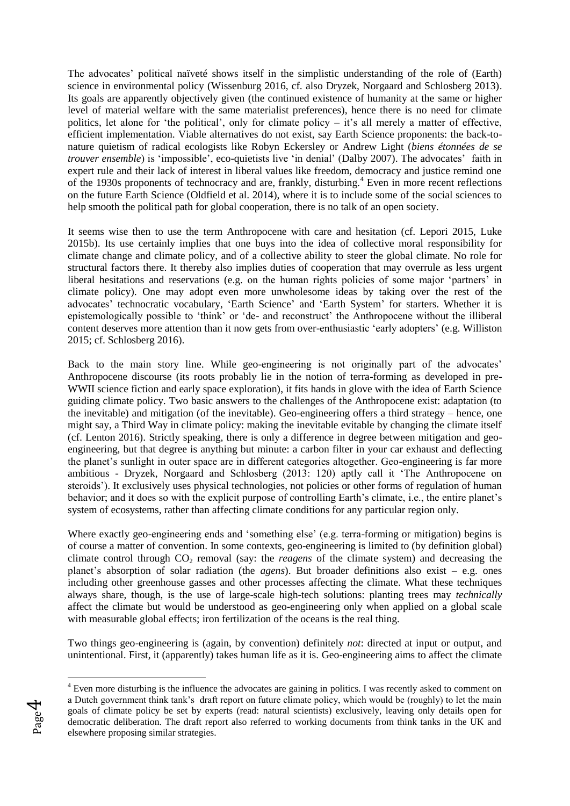The advocates' political naïveté shows itself in the simplistic understanding of the role of (Earth) science in environmental policy (Wissenburg 2016, cf. also Dryzek, Norgaard and Schlosberg 2013). Its goals are apparently objectively given (the continued existence of humanity at the same or higher level of material welfare with the same materialist preferences), hence there is no need for climate politics, let alone for 'the political', only for climate policy – it's all merely a matter of effective, efficient implementation. Viable alternatives do not exist, say Earth Science proponents: the back-tonature quietism of radical ecologists like Robyn Eckersley or Andrew Light (*biens étonnées de se trouver ensemble*) is 'impossible', eco-quietists live 'in denial' (Dalby 2007). The advocates' faith in expert rule and their lack of interest in liberal values like freedom, democracy and justice remind one of the 1930s proponents of technocracy and are, frankly, disturbing.<sup>4</sup> Even in more recent reflections on the future Earth Science (Oldfield et al. 2014), where it is to include some of the social sciences to help smooth the political path for global cooperation, there is no talk of an open society.

It seems wise then to use the term Anthropocene with care and hesitation (cf. Lepori 2015, Luke 2015b). Its use certainly implies that one buys into the idea of collective moral responsibility for climate change and climate policy, and of a collective ability to steer the global climate. No role for structural factors there. It thereby also implies duties of cooperation that may overrule as less urgent liberal hesitations and reservations (e.g. on the human rights policies of some major 'partners' in climate policy). One may adopt even more unwholesome ideas by taking over the rest of the advocates' technocratic vocabulary, 'Earth Science' and 'Earth System' for starters. Whether it is epistemologically possible to 'think' or 'de- and reconstruct' the Anthropocene without the illiberal content deserves more attention than it now gets from over-enthusiastic 'early adopters' (e.g. Williston 2015; cf. Schlosberg 2016).

Back to the main story line. While geo-engineering is not originally part of the advocates' Anthropocene discourse (its roots probably lie in the notion of terra-forming as developed in pre-WWII science fiction and early space exploration), it fits hands in glove with the idea of Earth Science guiding climate policy. Two basic answers to the challenges of the Anthropocene exist: adaptation (to the inevitable) and mitigation (of the inevitable). Geo-engineering offers a third strategy – hence, one might say, a Third Way in climate policy: making the inevitable evitable by changing the climate itself (cf. Lenton 2016). Strictly speaking, there is only a difference in degree between mitigation and geoengineering, but that degree is anything but minute: a carbon filter in your car exhaust and deflecting the planet's sunlight in outer space are in different categories altogether. Geo-engineering is far more ambitious - Dryzek, Norgaard and Schlosberg (2013: 120) aptly call it 'The Anthropocene on steroids'). It exclusively uses physical technologies, not policies or other forms of regulation of human behavior; and it does so with the explicit purpose of controlling Earth's climate, i.e., the entire planet's system of ecosystems, rather than affecting climate conditions for any particular region only.

Where exactly geo-engineering ends and 'something else' (e.g. terra-forming or mitigation) begins is of course a matter of convention. In some contexts, geo-engineering is limited to (by definition global) climate control through  $CO<sub>2</sub>$  removal (say: the *reagens* of the climate system) and decreasing the planet's absorption of solar radiation (the *agens*). But broader definitions also exist – e.g. ones including other greenhouse gasses and other processes affecting the climate. What these techniques always share, though, is the use of large-scale high-tech solutions: planting trees may *technically* affect the climate but would be understood as geo-engineering only when applied on a global scale with measurable global effects; iron fertilization of the oceans is the real thing.

Two things geo-engineering is (again, by convention) definitely *not*: directed at input or output, and unintentional. First, it (apparently) takes human life as it is. Geo-engineering aims to affect the climate

<sup>&</sup>lt;sup>4</sup> Even more disturbing is the influence the advocates are gaining in politics. I was recently asked to comment on a Dutch government think tank's draft report on future climate policy, which would be (roughly) to let the main goals of climate policy be set by experts (read: natural scientists) exclusively, leaving only details open for democratic deliberation. The draft report also referred to working documents from think tanks in the UK and elsewhere proposing similar strategies.



<u>.</u>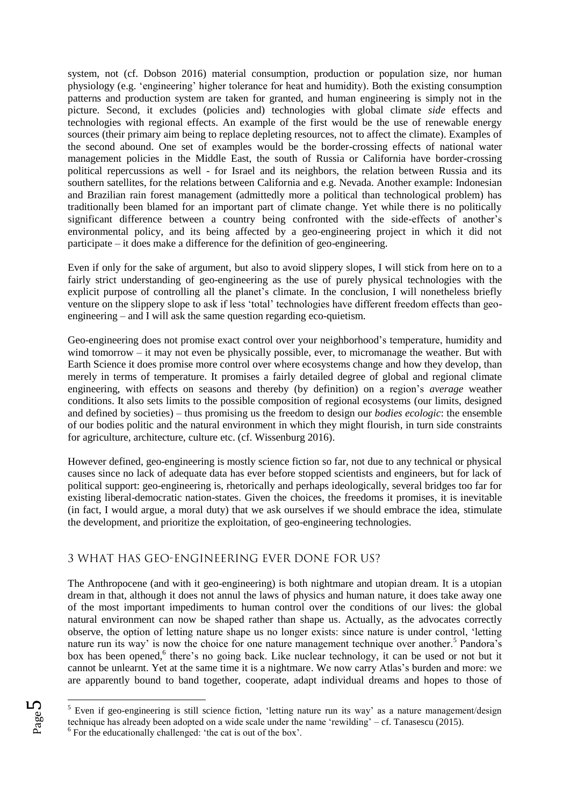system, not (cf. Dobson 2016) material consumption, production or population size, nor human physiology (e.g. 'engineering' higher tolerance for heat and humidity). Both the existing consumption patterns and production system are taken for granted, and human engineering is simply not in the picture. Second, it excludes (policies and) technologies with global climate *side* effects and technologies with regional effects. An example of the first would be the use of renewable energy sources (their primary aim being to replace depleting resources, not to affect the climate). Examples of the second abound. One set of examples would be the border-crossing effects of national water management policies in the Middle East, the south of Russia or California have border-crossing political repercussions as well - for Israel and its neighbors, the relation between Russia and its southern satellites, for the relations between California and e.g. Nevada. Another example: Indonesian and Brazilian rain forest management (admittedly more a political than technological problem) has traditionally been blamed for an important part of climate change. Yet while there is no politically significant difference between a country being confronted with the side-effects of another's environmental policy, and its being affected by a geo-engineering project in which it did not participate – it does make a difference for the definition of geo-engineering.

Even if only for the sake of argument, but also to avoid slippery slopes, I will stick from here on to a fairly strict understanding of geo-engineering as the use of purely physical technologies with the explicit purpose of controlling all the planet's climate. In the conclusion, I will nonetheless briefly venture on the slippery slope to ask if less 'total' technologies have different freedom effects than geoengineering – and I will ask the same question regarding eco-quietism.

Geo-engineering does not promise exact control over your neighborhood's temperature, humidity and wind tomorrow – it may not even be physically possible, ever, to micromanage the weather. But with Earth Science it does promise more control over where ecosystems change and how they develop, than merely in terms of temperature. It promises a fairly detailed degree of global and regional climate engineering, with effects on seasons and thereby (by definition) on a region's *average* weather conditions. It also sets limits to the possible composition of regional ecosystems (our limits, designed and defined by societies) – thus promising us the freedom to design our *bodies ecologic*: the ensemble of our bodies politic and the natural environment in which they might flourish, in turn side constraints for agriculture, architecture, culture etc. (cf. Wissenburg 2016).

However defined, geo-engineering is mostly science fiction so far, not due to any technical or physical causes since no lack of adequate data has ever before stopped scientists and engineers, but for lack of political support: geo-engineering is, rhetorically and perhaps ideologically, several bridges too far for existing liberal-democratic nation-states. Given the choices, the freedoms it promises, it is inevitable (in fact, I would argue, a moral duty) that we ask ourselves if we should embrace the idea, stimulate the development, and prioritize the exploitation, of geo-engineering technologies.

# 3 WHAT HAS GEO-ENGINEERING EVER DONE FOR US?

The Anthropocene (and with it geo-engineering) is both nightmare and utopian dream. It is a utopian dream in that, although it does not annul the laws of physics and human nature, it does take away one of the most important impediments to human control over the conditions of our lives: the global natural environment can now be shaped rather than shape us. Actually, as the advocates correctly observe, the option of letting nature shape us no longer exists: since nature is under control, 'letting nature run its way' is now the choice for one nature management technique over another.<sup>5</sup> Pandora's box has been opened,<sup>6</sup> there's no going back. Like nuclear technology, it can be used or not but it cannot be unlearnt. Yet at the same time it is a nightmare. We now carry Atlas's burden and more: we are apparently bound to band together, cooperate, adapt individual dreams and hopes to those of

<sup>1</sup> <sup>5</sup> Even if geo-engineering is still science fiction, 'letting nature run its way' as a nature management/design technique has already been adopted on a wide scale under the name 'rewilding' – cf. Tanasescu (2015). <sup>6</sup> For the educationally challenged: 'the cat is out of the box'.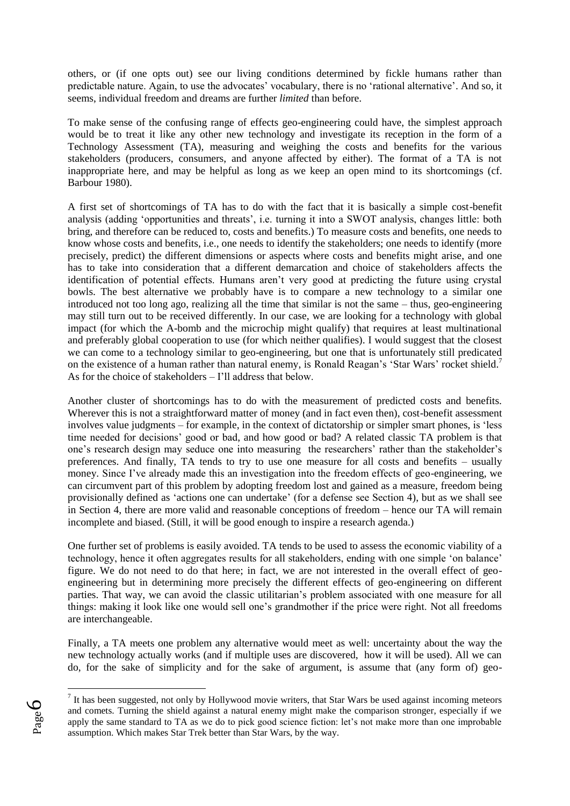others, or (if one opts out) see our living conditions determined by fickle humans rather than predictable nature. Again, to use the advocates' vocabulary, there is no 'rational alternative'. And so, it seems, individual freedom and dreams are further *limited* than before.

To make sense of the confusing range of effects geo-engineering could have, the simplest approach would be to treat it like any other new technology and investigate its reception in the form of a Technology Assessment (TA), measuring and weighing the costs and benefits for the various stakeholders (producers, consumers, and anyone affected by either). The format of a TA is not inappropriate here, and may be helpful as long as we keep an open mind to its shortcomings (cf. Barbour 1980).

A first set of shortcomings of TA has to do with the fact that it is basically a simple cost-benefit analysis (adding 'opportunities and threats', i.e. turning it into a SWOT analysis, changes little: both bring, and therefore can be reduced to, costs and benefits.) To measure costs and benefits, one needs to know whose costs and benefits, i.e., one needs to identify the stakeholders; one needs to identify (more precisely, predict) the different dimensions or aspects where costs and benefits might arise, and one has to take into consideration that a different demarcation and choice of stakeholders affects the identification of potential effects. Humans aren't very good at predicting the future using crystal bowls. The best alternative we probably have is to compare a new technology to a similar one introduced not too long ago, realizing all the time that similar is not the same – thus, geo-engineering may still turn out to be received differently. In our case, we are looking for a technology with global impact (for which the A-bomb and the microchip might qualify) that requires at least multinational and preferably global cooperation to use (for which neither qualifies). I would suggest that the closest we can come to a technology similar to geo-engineering, but one that is unfortunately still predicated on the existence of a human rather than natural enemy, is Ronald Reagan's 'Star Wars' rocket shield.<sup>7</sup> As for the choice of stakeholders – I'll address that below.

Another cluster of shortcomings has to do with the measurement of predicted costs and benefits. Wherever this is not a straightforward matter of money (and in fact even then), cost-benefit assessment involves value judgments – for example, in the context of dictatorship or simpler smart phones, is 'less time needed for decisions' good or bad, and how good or bad? A related classic TA problem is that one's research design may seduce one into measuring the researchers' rather than the stakeholder's preferences. And finally, TA tends to try to use one measure for all costs and benefits – usually money. Since I've already made this an investigation into the freedom effects of geo-engineering, we can circumvent part of this problem by adopting freedom lost and gained as a measure, freedom being provisionally defined as 'actions one can undertake' (for a defense see Section 4), but as we shall see in Section 4, there are more valid and reasonable conceptions of freedom – hence our TA will remain incomplete and biased. (Still, it will be good enough to inspire a research agenda.)

One further set of problems is easily avoided. TA tends to be used to assess the economic viability of a technology, hence it often aggregates results for all stakeholders, ending with one simple 'on balance' figure. We do not need to do that here; in fact, we are not interested in the overall effect of geoengineering but in determining more precisely the different effects of geo-engineering on different parties. That way, we can avoid the classic utilitarian's problem associated with one measure for all things: making it look like one would sell one's grandmother if the price were right. Not all freedoms are interchangeable.

Finally, a TA meets one problem any alternative would meet as well: uncertainty about the way the new technology actually works (and if multiple uses are discovered, how it will be used). All we can do, for the sake of simplicity and for the sake of argument, is assume that (any form of) geo-

 $<sup>7</sup>$  It has been suggested, not only by Hollywood movie writers, that Star Wars be used against incoming meteors</sup> and comets. Turning the shield against a natural enemy might make the comparison stronger, especially if we apply the same standard to TA as we do to pick good science fiction: let's not make more than one improbable assumption. Which makes Star Trek better than Star Wars, by the way.

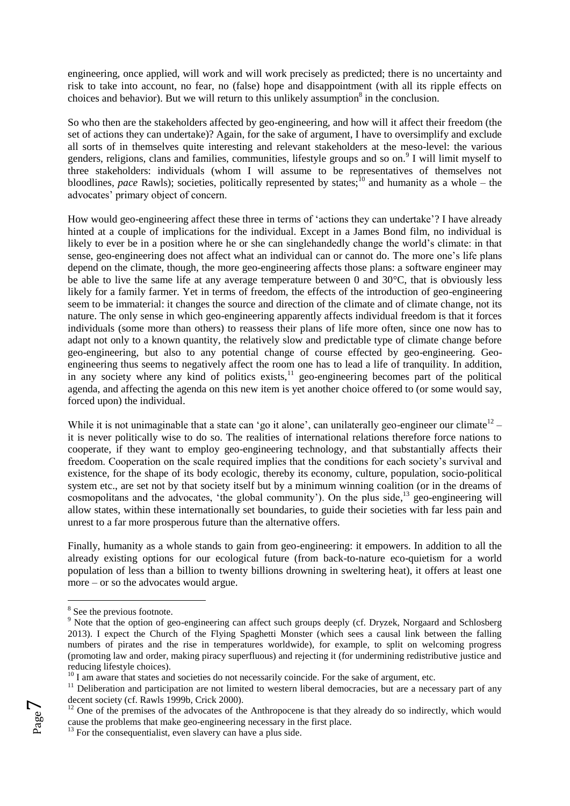engineering, once applied, will work and will work precisely as predicted; there is no uncertainty and risk to take into account, no fear, no (false) hope and disappointment (with all its ripple effects on choices and behavior). But we will return to this unlikely assumption<sup>8</sup> in the conclusion.

So who then are the stakeholders affected by geo-engineering, and how will it affect their freedom (the set of actions they can undertake)? Again, for the sake of argument, I have to oversimplify and exclude all sorts of in themselves quite interesting and relevant stakeholders at the meso-level: the various genders, religions, clans and families, communities, lifestyle groups and so on.<sup>9</sup> I will limit myself to three stakeholders: individuals (whom I will assume to be representatives of themselves not bloodlines, *pace* Rawls); societies, politically represented by states;<sup>10</sup> and humanity as a whole – the advocates' primary object of concern.

How would geo-engineering affect these three in terms of 'actions they can undertake'? I have already hinted at a couple of implications for the individual. Except in a James Bond film, no individual is likely to ever be in a position where he or she can singlehandedly change the world's climate: in that sense, geo-engineering does not affect what an individual can or cannot do. The more one's life plans depend on the climate, though, the more geo-engineering affects those plans: a software engineer may be able to live the same life at any average temperature between 0 and 30°C, that is obviously less likely for a family farmer. Yet in terms of freedom, the effects of the introduction of geo-engineering seem to be immaterial: it changes the source and direction of the climate and of climate change, not its nature. The only sense in which geo-engineering apparently affects individual freedom is that it forces individuals (some more than others) to reassess their plans of life more often, since one now has to adapt not only to a known quantity, the relatively slow and predictable type of climate change before geo-engineering, but also to any potential change of course effected by geo-engineering. Geoengineering thus seems to negatively affect the room one has to lead a life of tranquility. In addition, in any society where any kind of politics exists, $\frac{11}{1}$  geo-engineering becomes part of the political agenda, and affecting the agenda on this new item is yet another choice offered to (or some would say, forced upon) the individual.

While it is not unimaginable that a state can 'go it alone', can unilaterally geo-engineer our climate<sup>12</sup> – it is never politically wise to do so. The realities of international relations therefore force nations to cooperate, if they want to employ geo-engineering technology, and that substantially affects their freedom. Cooperation on the scale required implies that the conditions for each society's survival and existence, for the shape of its body ecologic, thereby its economy, culture, population, socio-political system etc., are set not by that society itself but by a minimum winning coalition (or in the dreams of cosmopolitans and the advocates, 'the global community'). On the plus side,<sup>13</sup> geo-engineering will allow states, within these internationally set boundaries, to guide their societies with far less pain and unrest to a far more prosperous future than the alternative offers.

Finally, humanity as a whole stands to gain from geo-engineering: it empowers. In addition to all the already existing options for our ecological future (from back-to-nature eco-quietism for a world population of less than a billion to twenty billions drowning in sweltering heat), it offers at least one more – or so the advocates would argue.

 $^{13}$  For the consequentialist, even slavery can have a plus side.



<sup>&</sup>lt;sup>8</sup> See the previous footnote.

<sup>&</sup>lt;sup>9</sup> Note that the option of geo-engineering can affect such groups deeply (cf. Dryzek, Norgaard and Schlosberg 2013). I expect the Church of the Flying Spaghetti Monster (which sees a causal link between the falling numbers of pirates and the rise in temperatures worldwide), for example, to split on welcoming progress (promoting law and order, making piracy superfluous) and rejecting it (for undermining redistributive justice and reducing lifestyle choices).

 $10<sup>10</sup>$  I am aware that states and societies do not necessarily coincide. For the sake of argument, etc.

 $11$  Deliberation and participation are not limited to western liberal democracies, but are a necessary part of any decent society (cf. Rawls 1999b, Crick 2000).

 $12$  One of the premises of the advocates of the Anthropocene is that they already do so indirectly, which would cause the problems that make geo-engineering necessary in the first place.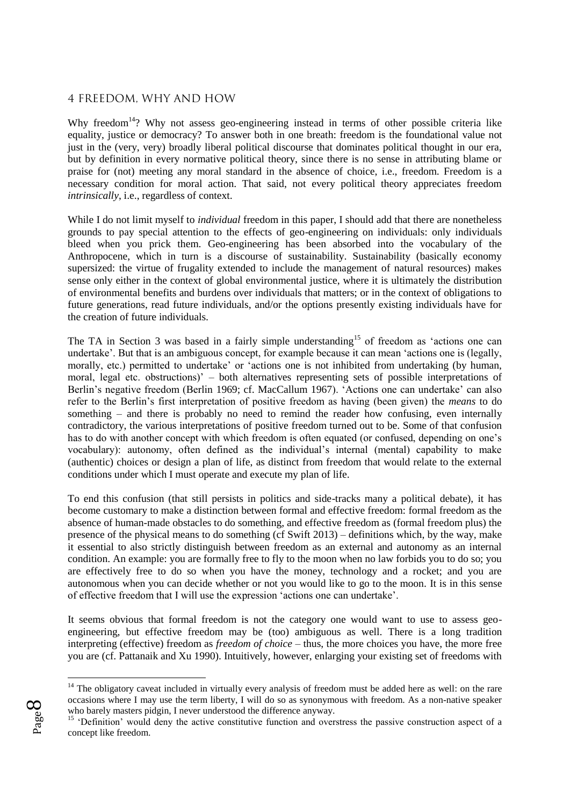#### 4 FREEDOM, WHY AND HOW

Why freedom<sup>14</sup>? Why not assess geo-engineering instead in terms of other possible criteria like equality, justice or democracy? To answer both in one breath: freedom is the foundational value not just in the (very, very) broadly liberal political discourse that dominates political thought in our era, but by definition in every normative political theory, since there is no sense in attributing blame or praise for (not) meeting any moral standard in the absence of choice, i.e., freedom. Freedom is a necessary condition for moral action. That said, not every political theory appreciates freedom *intrinsically*, i.e., regardless of context.

While I do not limit myself to *individual* freedom in this paper, I should add that there are nonetheless grounds to pay special attention to the effects of geo-engineering on individuals: only individuals bleed when you prick them. Geo-engineering has been absorbed into the vocabulary of the Anthropocene, which in turn is a discourse of sustainability. Sustainability (basically economy supersized: the virtue of frugality extended to include the management of natural resources) makes sense only either in the context of global environmental justice, where it is ultimately the distribution of environmental benefits and burdens over individuals that matters; or in the context of obligations to future generations, read future individuals, and/or the options presently existing individuals have for the creation of future individuals.

The TA in Section 3 was based in a fairly simple understanding<sup>15</sup> of freedom as 'actions one can undertake'. But that is an ambiguous concept, for example because it can mean 'actions one is (legally, morally, etc.) permitted to undertake' or 'actions one is not inhibited from undertaking (by human, moral, legal etc. obstructions)' – both alternatives representing sets of possible interpretations of Berlin's negative freedom (Berlin 1969; cf. MacCallum 1967). 'Actions one can undertake' can also refer to the Berlin's first interpretation of positive freedom as having (been given) the *means* to do something – and there is probably no need to remind the reader how confusing, even internally contradictory, the various interpretations of positive freedom turned out to be. Some of that confusion has to do with another concept with which freedom is often equated (or confused, depending on one's vocabulary): autonomy, often defined as the individual's internal (mental) capability to make (authentic) choices or design a plan of life, as distinct from freedom that would relate to the external conditions under which I must operate and execute my plan of life.

To end this confusion (that still persists in politics and side-tracks many a political debate), it has become customary to make a distinction between formal and effective freedom: formal freedom as the absence of human-made obstacles to do something, and effective freedom as (formal freedom plus) the presence of the physical means to do something (cf Swift 2013) – definitions which, by the way, make it essential to also strictly distinguish between freedom as an external and autonomy as an internal condition. An example: you are formally free to fly to the moon when no law forbids you to do so; you are effectively free to do so when you have the money, technology and a rocket; and you are autonomous when you can decide whether or not you would like to go to the moon. It is in this sense of effective freedom that I will use the expression 'actions one can undertake'.

It seems obvious that formal freedom is not the category one would want to use to assess geoengineering, but effective freedom may be (too) ambiguous as well. There is a long tradition interpreting (effective) freedom as *freedom of choice* – thus, the more choices you have, the more free you are (cf. Pattanaik and Xu 1990). Intuitively, however, enlarging your existing set of freedoms with

<sup>&</sup>lt;sup>15</sup> 'Definition' would deny the active constitutive function and overstress the passive construction aspect of a concept like freedom.



<u>.</u>

 $14$  The obligatory caveat included in virtually every analysis of freedom must be added here as well: on the rare occasions where I may use the term liberty, I will do so as synonymous with freedom. As a non-native speaker who barely masters pidgin, I never understood the difference anyway.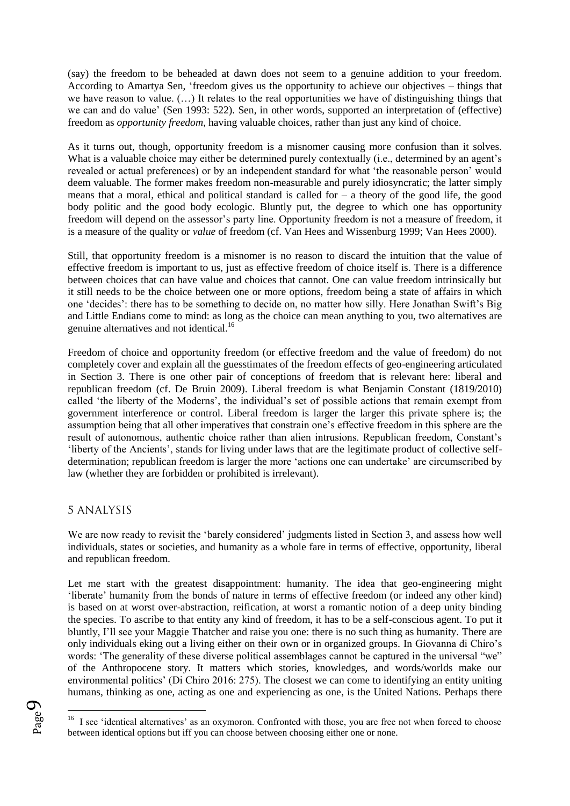(say) the freedom to be beheaded at dawn does not seem to a genuine addition to your freedom. According to Amartya Sen, 'freedom gives us the opportunity to achieve our objectives – things that we have reason to value. (…) It relates to the real opportunities we have of distinguishing things that we can and do value' (Sen 1993: 522). Sen, in other words, supported an interpretation of (effective) freedom as *opportunity freedom*, having valuable choices, rather than just any kind of choice.

As it turns out, though, opportunity freedom is a misnomer causing more confusion than it solves. What is a valuable choice may either be determined purely contextually (i.e., determined by an agent's revealed or actual preferences) or by an independent standard for what 'the reasonable person' would deem valuable. The former makes freedom non-measurable and purely idiosyncratic; the latter simply means that a moral, ethical and political standard is called for – a theory of the good life, the good body politic and the good body ecologic. Bluntly put, the degree to which one has opportunity freedom will depend on the assessor's party line. Opportunity freedom is not a measure of freedom, it is a measure of the quality or *value* of freedom (cf. Van Hees and Wissenburg 1999; Van Hees 2000).

Still, that opportunity freedom is a misnomer is no reason to discard the intuition that the value of effective freedom is important to us, just as effective freedom of choice itself is. There is a difference between choices that can have value and choices that cannot. One can value freedom intrinsically but it still needs to be the choice between one or more options, freedom being a state of affairs in which one 'decides': there has to be something to decide on, no matter how silly. Here Jonathan Swift's Big and Little Endians come to mind: as long as the choice can mean anything to you, two alternatives are genuine alternatives and not identical.<sup>16</sup>

Freedom of choice and opportunity freedom (or effective freedom and the value of freedom) do not completely cover and explain all the guesstimates of the freedom effects of geo-engineering articulated in Section 3. There is one other pair of conceptions of freedom that is relevant here: liberal and republican freedom (cf. De Bruin 2009). Liberal freedom is what Benjamin Constant (1819/2010) called 'the liberty of the Moderns', the individual's set of possible actions that remain exempt from government interference or control. Liberal freedom is larger the larger this private sphere is; the assumption being that all other imperatives that constrain one's effective freedom in this sphere are the result of autonomous, authentic choice rather than alien intrusions. Republican freedom, Constant's 'liberty of the Ancients', stands for living under laws that are the legitimate product of collective selfdetermination; republican freedom is larger the more 'actions one can undertake' are circumscribed by law (whether they are forbidden or prohibited is irrelevant).

#### 5 ANALYSIS

We are now ready to revisit the 'barely considered' judgments listed in Section 3, and assess how well individuals, states or societies, and humanity as a whole fare in terms of effective, opportunity, liberal and republican freedom.

Let me start with the greatest disappointment: humanity. The idea that geo-engineering might 'liberate' humanity from the bonds of nature in terms of effective freedom (or indeed any other kind) is based on at worst over-abstraction, reification, at worst a romantic notion of a deep unity binding the species. To ascribe to that entity any kind of freedom, it has to be a self-conscious agent. To put it bluntly, I'll see your Maggie Thatcher and raise you one: there is no such thing as humanity. There are only individuals eking out a living either on their own or in organized groups. In Giovanna di Chiro's words: 'The generality of these diverse political assemblages cannot be captured in the universal "we" of the Anthropocene story. It matters which stories, knowledges, and words/worlds make our environmental politics' (Di Chiro 2016: 275). The closest we can come to identifying an entity uniting humans, thinking as one, acting as one and experiencing as one, is the United Nations. Perhaps there

<u>.</u>

Page  $\sigma$ 

<sup>&</sup>lt;sup>16</sup> I see 'identical alternatives' as an oxymoron. Confronted with those, you are free not when forced to choose between identical options but iff you can choose between choosing either one or none.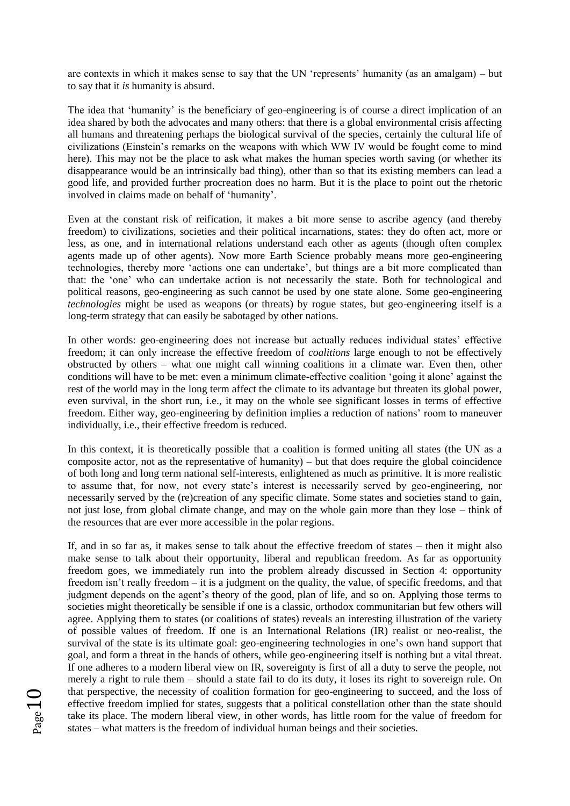are contexts in which it makes sense to say that the UN 'represents' humanity (as an amalgam) – but to say that it *is* humanity is absurd.

The idea that 'humanity' is the beneficiary of geo-engineering is of course a direct implication of an idea shared by both the advocates and many others: that there is a global environmental crisis affecting all humans and threatening perhaps the biological survival of the species, certainly the cultural life of civilizations (Einstein's remarks on the weapons with which WW IV would be fought come to mind here). This may not be the place to ask what makes the human species worth saving (or whether its disappearance would be an intrinsically bad thing), other than so that its existing members can lead a good life, and provided further procreation does no harm. But it is the place to point out the rhetoric involved in claims made on behalf of 'humanity'.

Even at the constant risk of reification, it makes a bit more sense to ascribe agency (and thereby freedom) to civilizations, societies and their political incarnations, states: they do often act, more or less, as one, and in international relations understand each other as agents (though often complex agents made up of other agents). Now more Earth Science probably means more geo-engineering technologies, thereby more 'actions one can undertake', but things are a bit more complicated than that: the 'one' who can undertake action is not necessarily the state. Both for technological and political reasons, geo-engineering as such cannot be used by one state alone. Some geo-engineering *technologies* might be used as weapons (or threats) by rogue states, but geo-engineering itself is a long-term strategy that can easily be sabotaged by other nations.

In other words: geo-engineering does not increase but actually reduces individual states' effective freedom; it can only increase the effective freedom of *coalitions* large enough to not be effectively obstructed by others – what one might call winning coalitions in a climate war. Even then, other conditions will have to be met: even a minimum climate-effective coalition 'going it alone' against the rest of the world may in the long term affect the climate to its advantage but threaten its global power, even survival, in the short run, i.e., it may on the whole see significant losses in terms of effective freedom. Either way, geo-engineering by definition implies a reduction of nations' room to maneuver individually, i.e., their effective freedom is reduced.

In this context, it is theoretically possible that a coalition is formed uniting all states (the UN as a composite actor, not as the representative of humanity) – but that does require the global coincidence of both long and long term national self-interests, enlightened as much as primitive. It is more realistic to assume that, for now, not every state's interest is necessarily served by geo-engineering, nor necessarily served by the (re)creation of any specific climate. Some states and societies stand to gain, not just lose, from global climate change, and may on the whole gain more than they lose – think of the resources that are ever more accessible in the polar regions.

If, and in so far as, it makes sense to talk about the effective freedom of states – then it might also make sense to talk about their opportunity, liberal and republican freedom. As far as opportunity freedom goes, we immediately run into the problem already discussed in Section 4: opportunity freedom isn't really freedom – it is a judgment on the quality, the value, of specific freedoms, and that judgment depends on the agent's theory of the good, plan of life, and so on. Applying those terms to societies might theoretically be sensible if one is a classic, orthodox communitarian but few others will agree. Applying them to states (or coalitions of states) reveals an interesting illustration of the variety of possible values of freedom. If one is an International Relations (IR) realist or neo-realist, the survival of the state is its ultimate goal: geo-engineering technologies in one's own hand support that goal, and form a threat in the hands of others, while geo-engineering itself is nothing but a vital threat. If one adheres to a modern liberal view on IR, sovereignty is first of all a duty to serve the people, not merely a right to rule them – should a state fail to do its duty, it loses its right to sovereign rule. On that perspective, the necessity of coalition formation for geo-engineering to succeed, and the loss of effective freedom implied for states, suggests that a political constellation other than the state should take its place. The modern liberal view, in other words, has little room for the value of freedom for states – what matters is the freedom of individual human beings and their societies.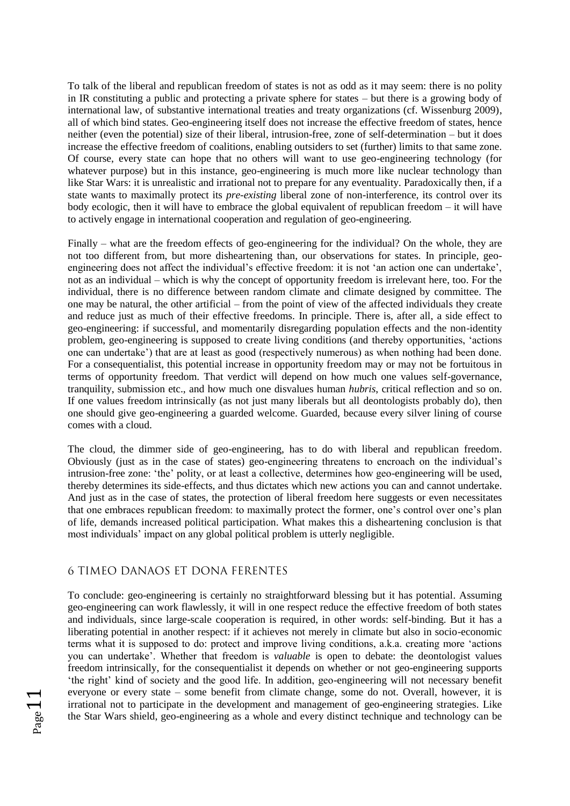To talk of the liberal and republican freedom of states is not as odd as it may seem: there is no polity in IR constituting a public and protecting a private sphere for states – but there is a growing body of international law, of substantive international treaties and treaty organizations (cf. Wissenburg 2009), all of which bind states. Geo-engineering itself does not increase the effective freedom of states, hence neither (even the potential) size of their liberal, intrusion-free, zone of self-determination – but it does increase the effective freedom of coalitions, enabling outsiders to set (further) limits to that same zone. Of course, every state can hope that no others will want to use geo-engineering technology (for whatever purpose) but in this instance, geo-engineering is much more like nuclear technology than like Star Wars: it is unrealistic and irrational not to prepare for any eventuality. Paradoxically then, if a state wants to maximally protect its *pre-existing* liberal zone of non-interference, its control over its body ecologic, then it will have to embrace the global equivalent of republican freedom – it will have to actively engage in international cooperation and regulation of geo-engineering.

Finally – what are the freedom effects of geo-engineering for the individual? On the whole, they are not too different from, but more disheartening than, our observations for states. In principle, geoengineering does not affect the individual's effective freedom: it is not 'an action one can undertake', not as an individual – which is why the concept of opportunity freedom is irrelevant here, too. For the individual, there is no difference between random climate and climate designed by committee. The one may be natural, the other artificial – from the point of view of the affected individuals they create and reduce just as much of their effective freedoms. In principle. There is, after all, a side effect to geo-engineering: if successful, and momentarily disregarding population effects and the non-identity problem, geo-engineering is supposed to create living conditions (and thereby opportunities, 'actions one can undertake') that are at least as good (respectively numerous) as when nothing had been done. For a consequentialist, this potential increase in opportunity freedom may or may not be fortuitous in terms of opportunity freedom. That verdict will depend on how much one values self-governance, tranquility, submission etc., and how much one disvalues human *hubris*, critical reflection and so on. If one values freedom intrinsically (as not just many liberals but all deontologists probably do), then one should give geo-engineering a guarded welcome. Guarded, because every silver lining of course comes with a cloud.

The cloud, the dimmer side of geo-engineering, has to do with liberal and republican freedom. Obviously (just as in the case of states) geo-engineering threatens to encroach on the individual's intrusion-free zone: 'the' polity, or at least a collective, determines how geo-engineering will be used, thereby determines its side-effects, and thus dictates which new actions you can and cannot undertake. And just as in the case of states, the protection of liberal freedom here suggests or even necessitates that one embraces republican freedom: to maximally protect the former, one's control over one's plan of life, demands increased political participation. What makes this a disheartening conclusion is that most individuals' impact on any global political problem is utterly negligible.

#### 6 TIMEO DANAOS ET DONA FERENTES

To conclude: geo-engineering is certainly no straightforward blessing but it has potential. Assuming geo-engineering can work flawlessly, it will in one respect reduce the effective freedom of both states and individuals, since large-scale cooperation is required, in other words: self-binding. But it has a liberating potential in another respect: if it achieves not merely in climate but also in socio-economic terms what it is supposed to do: protect and improve living conditions, a.k.a. creating more 'actions you can undertake'. Whether that freedom is *valuable* is open to debate: the deontologist values freedom intrinsically, for the consequentialist it depends on whether or not geo-engineering supports 'the right' kind of society and the good life. In addition, geo-engineering will not necessary benefit everyone or every state – some benefit from climate change, some do not. Overall, however, it is irrational not to participate in the development and management of geo-engineering strategies. Like the Star Wars shield, geo-engineering as a whole and every distinct technique and technology can be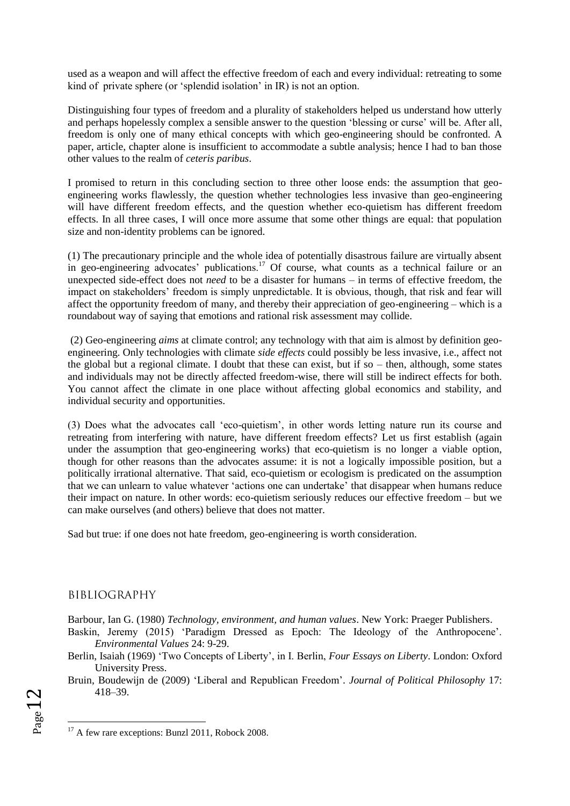used as a weapon and will affect the effective freedom of each and every individual: retreating to some kind of private sphere (or 'splendid isolation' in IR) is not an option.

Distinguishing four types of freedom and a plurality of stakeholders helped us understand how utterly and perhaps hopelessly complex a sensible answer to the question 'blessing or curse' will be. After all, freedom is only one of many ethical concepts with which geo-engineering should be confronted. A paper, article, chapter alone is insufficient to accommodate a subtle analysis; hence I had to ban those other values to the realm of *ceteris paribus*.

I promised to return in this concluding section to three other loose ends: the assumption that geoengineering works flawlessly, the question whether technologies less invasive than geo-engineering will have different freedom effects, and the question whether eco-quietism has different freedom effects. In all three cases, I will once more assume that some other things are equal: that population size and non-identity problems can be ignored.

(1) The precautionary principle and the whole idea of potentially disastrous failure are virtually absent in geo-engineering advocates' publications.<sup>17</sup> Of course, what counts as a technical failure or an unexpected side-effect does not *need* to be a disaster for humans – in terms of effective freedom, the impact on stakeholders' freedom is simply unpredictable. It is obvious, though, that risk and fear will affect the opportunity freedom of many, and thereby their appreciation of geo-engineering – which is a roundabout way of saying that emotions and rational risk assessment may collide.

(2) Geo-engineering *aims* at climate control; any technology with that aim is almost by definition geoengineering. Only technologies with climate *side effects* could possibly be less invasive, i.e., affect not the global but a regional climate. I doubt that these can exist, but if so – then, although, some states and individuals may not be directly affected freedom-wise, there will still be indirect effects for both. You cannot affect the climate in one place without affecting global economics and stability, and individual security and opportunities.

(3) Does what the advocates call 'eco-quietism', in other words letting nature run its course and retreating from interfering with nature, have different freedom effects? Let us first establish (again under the assumption that geo-engineering works) that eco-quietism is no longer a viable option, though for other reasons than the advocates assume: it is not a logically impossible position, but a politically irrational alternative. That said, eco-quietism or ecologism is predicated on the assumption that we can unlearn to value whatever 'actions one can undertake' that disappear when humans reduce their impact on nature. In other words: eco-quietism seriously reduces our effective freedom – but we can make ourselves (and others) believe that does not matter.

Sad but true: if one does not hate freedom, geo-engineering is worth consideration.

# BIBLIOGRAPHY

Barbour, Ian G. (1980) *Technology, environment, and human values*. New York: Praeger Publishers.

- Baskin, Jeremy (2015) 'Paradigm Dressed as Epoch: The Ideology of the Anthropocene'. *Environmental Values* 24: 9-29.
- Berlin, Isaiah (1969) 'Two Concepts of Liberty', in I. Berlin, *Four Essays on Liberty*. London: Oxford University Press.
- Bruin, Boudewijn de (2009) 'Liberal and Republican Freedom'. *Journal of Political Philosophy* 17: 418–39.

 $_{\rm Page}$ 12

 $17$  A few rare exceptions: Bunzl 2011, Robock 2008.